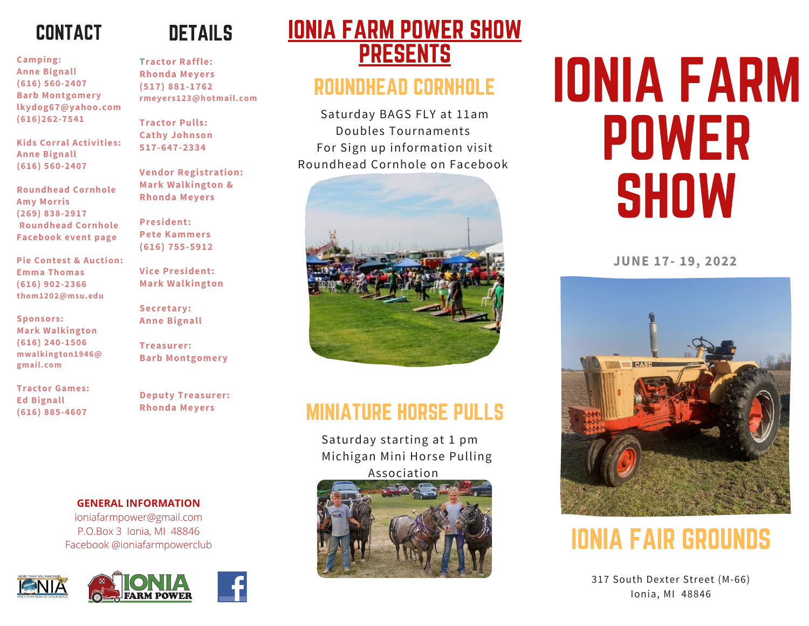# CONTACT CONTACT CONTACT

**Camping: Camping: Camping: Anne Bignall Anne Bignall Anne Bignall (616) 560-2407 (616) 560-2407 (616) 560-2407 Barb Montgomery Barb Montgomery Barb Montgomery lkydog67@yahoo.com lkydog67@yahoo.com lkydog67@yahoo.com (616)262-7541 (616)262-7541 (616)262-7541**

**Kids Corral Activities: Kids Corral Activities: Kids Corral Activities: Anne Bignall Anne Bignall Anne Bignall (616) 560-2407 (616) 560-2407 (616) 560-2407**

**Roundhead Cornhole Roundhead Cornhole Roundhead Cornhole Amy Morris Amy Morris Amy Morris (269) 838-2917 (269) 838-2917 (269) 838-2917 Roundhead Cornhole Roundhead Cornhole Roundhead Cornhole Facebook event page Facebook event page Facebook event page**

**Pie Contest & Auction: Pie Contest & Auction: Pie Contest & Auction: Emma Thomas Emma Thomas Emma Thomas (616) 902-2366 (616) 902-2366 (616) 902-2366 thom1202@msu.edu thom1202@msu.edu thom1202@msu.edu**

**Sponsors: Sponsors: Sponsors: Mark Walkington Mark Walkington Mark Walkington (616) 240-1506 (616) 240-1506 (616) 240-1506 mwalkington1946@ mwalkington1946@ mwalkington1946@ gmail.com gmail.com gmail.com**

**Tractor Games: Tractor Games: Tractor Games: Ed Bignall Ed Bignall Ed Bignall (616) 885-4607 (616) 885-4607 (616) 885-4607**

# DETAILS DETAILS DETAILS

**Tractor Raffle: Tractor Raffle: Tractor Raffle: Rhonda Meyers Rhonda Meyers Rhonda Meyers (517) 881-1762 (517) 881-1762 (517) 881-1762 rmeyers123@hotmail.com rmeyers123@hotmail.com rmeyers123@hotmail.com**

**Tractor Pulls: Tractor Pulls: Tractor Pulls: Cathy Johnson Cathy Johnson Cathy Johnson 517-647-2334 517-647-2334 517-647-2334**

**Vendor Registration: Vendor Registration: Vendor Registration: Mark Walkington & Mark Walkington & Mark Walkington & Rhonda Meyers Rhonda Meyers Rhonda Meyers**

**President: President: President: Pete Kammers Pete Kammers Pete Kammers (616) 755-5912 (616) 755-5912 (616) 755-5912**

**Vice President: Vice President: Vice President: Mark Walkington Mark Walkington Mark Walkington**

**Secretary: Secretary: Secretary: Anne Bignall Anne Bignall Anne Bignall**

**Treasurer: Treasurer: Treasurer: Barb Montgomery Barb Montgomery Barb Montgomery**

**Deputy Treasurer: Deputy Treasurer: Deputy Treasurer: Rhonda Meyers Rhonda Meyers Rhonda Meyers**

**GENERAL INFORMATION GENERAL INFORMATION GENERAL INFORMATION** ioniafarmpower@gmail.com ioniafarmpower@gmail.com ioniafarmpower@gmail.com P.O.Box 3 Ionia, MI 48846 P.O.Box 3 Ionia, MI 48846 P.O.Box 3 Ionia, MI 48846

Facebook @ioniafarmpowerclub Facebook @ioniafarmpowerclub Facebook @ioniafarmpowerclub





# IONIA FARM POWER SHOW IONIA FARM POWER SHOW IONIA FARM POWER SHOW PRESENTS PRESENTS PRESENTS

# ROUNDHEAD CORNHOLE ROUNDHEAD CORNHOLE ROUNDHEAD CORNHOLE

Saturday BAGS FLY at 11am Saturday BAGS FLY at 11am Saturday BAGS FLY at 11am Doubles Tournaments Doubles Tournaments Doubles Tournaments For Sign up information visit For Sign up information visit For Sign up information visit Roundhead Cornhole on Facebook Roundhead Cornhole on Facebook Roundhead Cornhole on Facebook



## MINIATURE HORSE PULLS MINIATURE HORSE PULLS MINIATURE HORSE PULLS

Saturday starting at 1 pm Saturday starting at 1 pm Saturday starting at 1 pm Michigan Mini Horse Pulling Michigan Mini Horse Pulling Michigan Mini Horse Pulling Association Association Association



# IONIA FARM IONIA FARM IONIA FARM POWER POWER POWER SHOW SHOW SHOW

**JUNE 17- 19, 2022 JUNE 17- 19, 2022 JUNE 17- 19, 2022**



# IONIA FAIR GROUNDS IONIA FAIR GROUNDS IONIA FAIR GROUNDS

317 South Dexter Street (M-66) 317 South Dexter Street (M-66) 317 South Dexter Street (M-66) Ionia, MI 48846 Ionia, MI 48846 Ionia, MI 48846